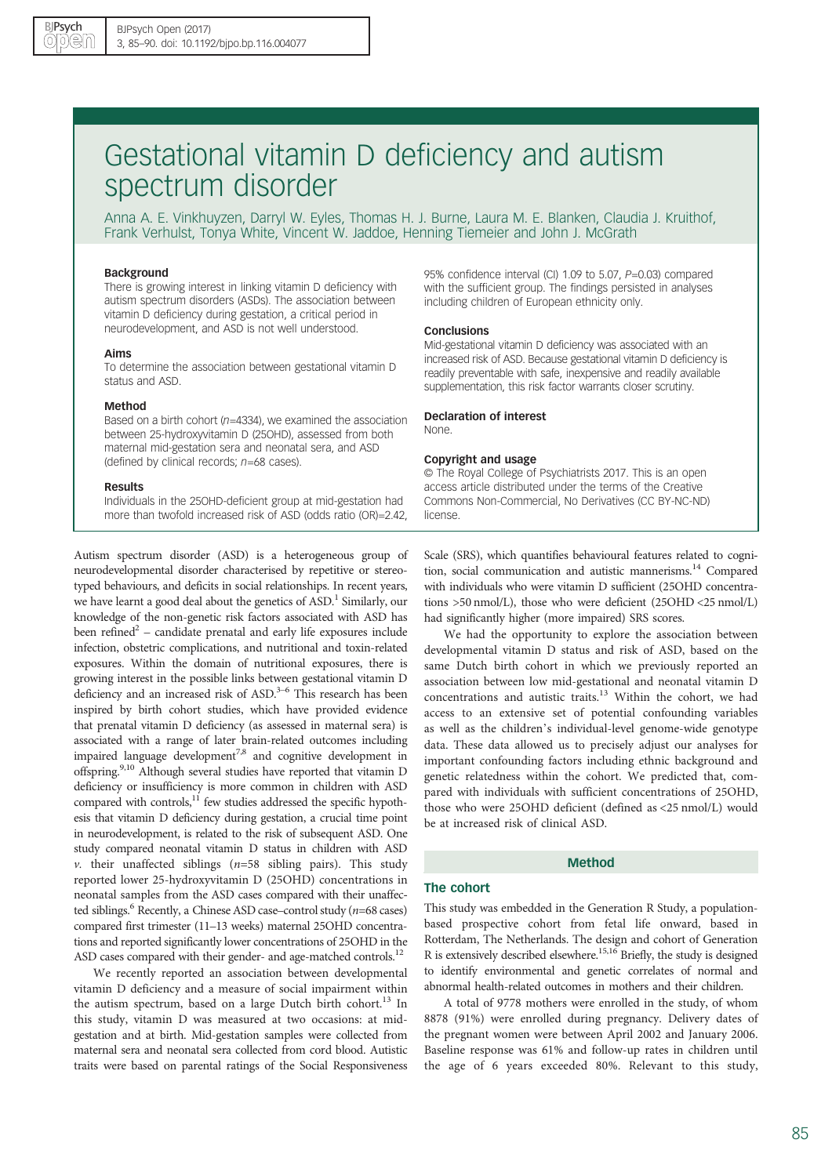# Gestational vitamin D deficiency and autism spectrum disorder

Anna A. E. Vinkhuyzen, Darryl W. Eyles, Thomas H. J. Burne, Laura M. E. Blanken, Claudia J. Kruithof, Frank Verhulst, Tonya White, Vincent W. Jaddoe, Henning Tiemeier and John J. McGrath

#### Background

There is growing interest in linking vitamin D deficiency with autism spectrum disorders (ASDs). The association between vitamin D deficiency during gestation, a critical period in neurodevelopment, and ASD is not well understood.

#### Aims

To determine the association between gestational vitamin D status and ASD.

#### Method

Based on a birth cohort ( $n=4334$ ), we examined the association between 25-hydroxyvitamin D (25OHD), assessed from both maternal mid-gestation sera and neonatal sera, and ASD (defined by clinical records; n=68 cases).

#### Results

Individuals in the 25OHD-deficient group at mid-gestation had more than twofold increased risk of ASD (odds ratio (OR)=2.42,

Autism spectrum disorder (ASD) is a heterogeneous group of neurodevelopmental disorder characterised by repetitive or stereotyped behaviours, and deficits in social relationships. In recent years, we have learnt a good deal about the genetics of ASD.<sup>1</sup> Similarly, our knowledge of the non-genetic risk factors associated with ASD has been refined<sup>[2](#page-4-0)</sup> – candidate prenatal and early life exposures include infection, obstetric complications, and nutritional and toxin-related exposures. Within the domain of nutritional exposures, there is growing interest in the possible links between gestational vitamin D deficiency and an increased risk of ASD.<sup>[3](#page-4-0)–[6](#page-4-0)</sup> This research has been inspired by birth cohort studies, which have provided evidence that prenatal vitamin D deficiency (as assessed in maternal sera) is associated with a range of later brain-related outcomes including impaired language development $^{7,8}$  $^{7,8}$  $^{7,8}$  and cognitive development in offspring.[9,10](#page-4-0) Although several studies have reported that vitamin D deficiency or insufficiency is more common in children with ASD compared with controls,<sup>11</sup> few studies addressed the specific hypothesis that vitamin D deficiency during gestation, a crucial time point in neurodevelopment, is related to the risk of subsequent ASD. One study compared neonatal vitamin D status in children with ASD  $\nu$ . their unaffected siblings ( $n=58$  sibling pairs). This study reported lower 25-hydroxyvitamin D (25OHD) concentrations in neonatal samples from the ASD cases compared with their unaffected siblings.<sup>6</sup> Recently, a Chinese ASD case-control study ( $n=68$  cases) compared first trimester (11–13 weeks) maternal 25OHD concentrations and reported significantly lower concentrations of 25OHD in the ASD cases compared with their gender- and age-matched controls.<sup>[12](#page-4-0)</sup>

We recently reported an association between developmental vitamin D deficiency and a measure of social impairment within the autism spectrum, based on a large Dutch birth cohort.<sup>[13](#page-4-0)</sup> In this study, vitamin D was measured at two occasions: at midgestation and at birth. Mid-gestation samples were collected from maternal sera and neonatal sera collected from cord blood. Autistic traits were based on parental ratings of the Social Responsiveness

95% confidence interval (CI) 1.09 to 5.07, P=0.03) compared with the sufficient group. The findings persisted in analyses including children of European ethnicity only.

#### **Conclusions**

Mid-gestational vitamin D deficiency was associated with an increased risk of ASD. Because gestational vitamin D deficiency is readily preventable with safe, inexpensive and readily available supplementation, this risk factor warrants closer scrutiny.

## Declaration of interest

None.

## Copyright and usage

© The Royal College of Psychiatrists 2017. This is an open access article distributed under the terms of the Creative Commons Non-Commercial, No Derivatives (CC BY-NC-ND) license.

Scale (SRS), which quantifies behavioural features related to cognition, social communication and autistic mannerisms.<sup>14</sup> Compared with individuals who were vitamin D sufficient (25OHD concentrations >50 nmol/L), those who were deficient (25OHD <25 nmol/L) had significantly higher (more impaired) SRS scores.

We had the opportunity to explore the association between developmental vitamin D status and risk of ASD, based on the same Dutch birth cohort in which we previously reported an association between low mid-gestational and neonatal vitamin D concentrations and autistic traits. $13$  Within the cohort, we had access to an extensive set of potential confounding variables as well as the children's individual-level genome-wide genotype data. These data allowed us to precisely adjust our analyses for important confounding factors including ethnic background and genetic relatedness within the cohort. We predicted that, compared with individuals with sufficient concentrations of 25OHD, those who were 25OHD deficient (defined as <25 nmol/L) would be at increased risk of clinical ASD.

## Method

## The cohort

This study was embedded in the Generation R Study, a populationbased prospective cohort from fetal life onward, based in Rotterdam, The Netherlands. The design and cohort of Generation R is extensively described elsewhere.<sup>15,[16](#page-4-0)</sup> Briefly, the study is designed to identify environmental and genetic correlates of normal and abnormal health-related outcomes in mothers and their children.

A total of 9778 mothers were enrolled in the study, of whom 8878 (91%) were enrolled during pregnancy. Delivery dates of the pregnant women were between April 2002 and January 2006. Baseline response was 61% and follow-up rates in children until the age of 6 years exceeded 80%. Relevant to this study,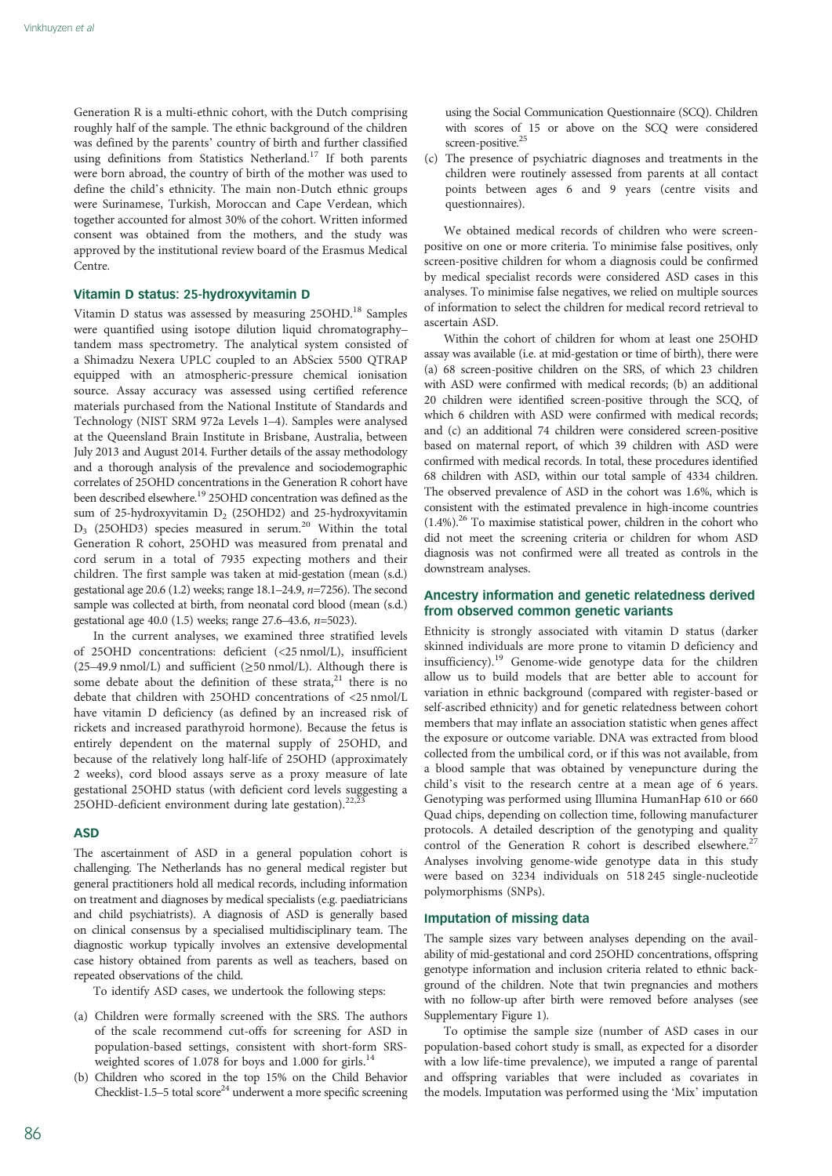Generation R is a multi-ethnic cohort, with the Dutch comprising roughly half of the sample. The ethnic background of the children was defined by the parents' country of birth and further classified using definitions from Statistics Netherland.<sup>[17](#page-4-0)</sup> If both parents were born abroad, the country of birth of the mother was used to define the child's ethnicity. The main non-Dutch ethnic groups were Surinamese, Turkish, Moroccan and Cape Verdean, which together accounted for almost 30% of the cohort. Written informed consent was obtained from the mothers, and the study was approved by the institutional review board of the Erasmus Medical Centre.

## Vitamin D status: 25-hydroxyvitamin D

Vitamin D status was assessed by measuring  $25OHD<sup>18</sup>$  Samples were quantified using isotope dilution liquid chromatography– tandem mass spectrometry. The analytical system consisted of a Shimadzu Nexera UPLC coupled to an AbSciex 5500 QTRAP equipped with an atmospheric-pressure chemical ionisation source. Assay accuracy was assessed using certified reference materials purchased from the National Institute of Standards and Technology (NIST SRM 972a Levels 1–4). Samples were analysed at the Queensland Brain Institute in Brisbane, Australia, between July 2013 and August 2014. Further details of the assay methodology and a thorough analysis of the prevalence and sociodemographic correlates of 25OHD concentrations in the Generation R cohort have been described elsewhere.<sup>19</sup> 25OHD concentration was defined as the sum of 25-hydroxyvitamin  $D_2$  (25OHD2) and 25-hydroxyvitamin  $D_3$  (25OHD3) species measured in serum.<sup>[20](#page-4-0)</sup> Within the total Generation R cohort, 25OHD was measured from prenatal and cord serum in a total of 7935 expecting mothers and their children. The first sample was taken at mid-gestation (mean (s.d.) gestational age 20.6 (1.2) weeks; range  $18.1–24.9$ ,  $n=7256$ ). The second sample was collected at birth, from neonatal cord blood (mean (s.d.) gestational age 40.0 (1.5) weeks; range  $27.6-43.6$ ,  $n=5023$ ).

In the current analyses, we examined three stratified levels of 25OHD concentrations: deficient (<25 nmol/L), insufficient  $(25–49.9 \text{ nmol/L})$  and sufficient  $(>50 \text{ nmol/L})$ . Although there is some debate about the definition of these strata, $21$  there is no debate that children with 25OHD concentrations of <25 nmol/L have vitamin D deficiency (as defined by an increased risk of rickets and increased parathyroid hormone). Because the fetus is entirely dependent on the maternal supply of 25OHD, and because of the relatively long half-life of 25OHD (approximately 2 weeks), cord blood assays serve as a proxy measure of late gestational 25OHD status (with deficient cord levels suggesting a 25OHD-deficient environment during late gestation).<sup>22,2</sup>

### ASD

The ascertainment of ASD in a general population cohort is challenging. The Netherlands has no general medical register but general practitioners hold all medical records, including information on treatment and diagnoses by medical specialists (e.g. paediatricians and child psychiatrists). A diagnosis of ASD is generally based on clinical consensus by a specialised multidisciplinary team. The diagnostic workup typically involves an extensive developmental case history obtained from parents as well as teachers, based on repeated observations of the child.

To identify ASD cases, we undertook the following steps:

- (a) Children were formally screened with the SRS. The authors of the scale recommend cut-offs for screening for ASD in population-based settings, consistent with short-form SRS-weighted scores of 1.078 for boys and 1.000 for girls.<sup>[14](#page-4-0)</sup>
- (b) Children who scored in the top 15% on the Child Behavior Checklist-1.5–5 total score<sup>24</sup> underwent a more specific screening

using the Social Communication Questionnaire (SCQ). Children with scores of 15 or above on the SCQ were considered screen-positive.<sup>25</sup>

(c) The presence of psychiatric diagnoses and treatments in the children were routinely assessed from parents at all contact points between ages 6 and 9 years (centre visits and questionnaires).

We obtained medical records of children who were screenpositive on one or more criteria. To minimise false positives, only screen-positive children for whom a diagnosis could be confirmed by medical specialist records were considered ASD cases in this analyses. To minimise false negatives, we relied on multiple sources of information to select the children for medical record retrieval to ascertain ASD.

Within the cohort of children for whom at least one 25OHD assay was available (i.e. at mid-gestation or time of birth), there were (a) 68 screen-positive children on the SRS, of which 23 children with ASD were confirmed with medical records; (b) an additional 20 children were identified screen-positive through the SCQ, of which 6 children with ASD were confirmed with medical records; and (c) an additional 74 children were considered screen-positive based on maternal report, of which 39 children with ASD were confirmed with medical records. In total, these procedures identified 68 children with ASD, within our total sample of 4334 children. The observed prevalence of ASD in the cohort was 1.6%, which is consistent with the estimated prevalence in high-income countries  $(1.4\%)$ .<sup>26</sup> To maximise statistical power, children in the cohort who did not meet the screening criteria or children for whom ASD diagnosis was not confirmed were all treated as controls in the downstream analyses.

## Ancestry information and genetic relatedness derived from observed common genetic variants

Ethnicity is strongly associated with vitamin D status (darker skinned individuals are more prone to vitamin D deficiency and insufficiency).[19](#page-4-0) Genome-wide genotype data for the children allow us to build models that are better able to account for variation in ethnic background (compared with register-based or self-ascribed ethnicity) and for genetic relatedness between cohort members that may inflate an association statistic when genes affect the exposure or outcome variable. DNA was extracted from blood collected from the umbilical cord, or if this was not available, from a blood sample that was obtained by venepuncture during the child's visit to the research centre at a mean age of 6 years. Genotyping was performed using Illumina HumanHap 610 or 660 Quad chips, depending on collection time, following manufacturer protocols. A detailed description of the genotyping and quality control of the Generation R cohort is described elsewhere.<sup>[27](#page-5-0)</sup> Analyses involving genome-wide genotype data in this study were based on 3234 individuals on 518 245 single-nucleotide polymorphisms (SNPs).

#### Imputation of missing data

The sample sizes vary between analyses depending on the availability of mid-gestational and cord 25OHD concentrations, offspring genotype information and inclusion criteria related to ethnic background of the children. Note that twin pregnancies and mothers with no follow-up after birth were removed before analyses (see [Supplementary Figure 1](http://bjpo.rcpsych.org/lookup/suppl/doi:10.1192/bjpo.bp.116.004077/-/DC1)).

To optimise the sample size (number of ASD cases in our population-based cohort study is small, as expected for a disorder with a low life-time prevalence), we imputed a range of parental and offspring variables that were included as covariates in the models. Imputation was performed using the 'Mix' imputation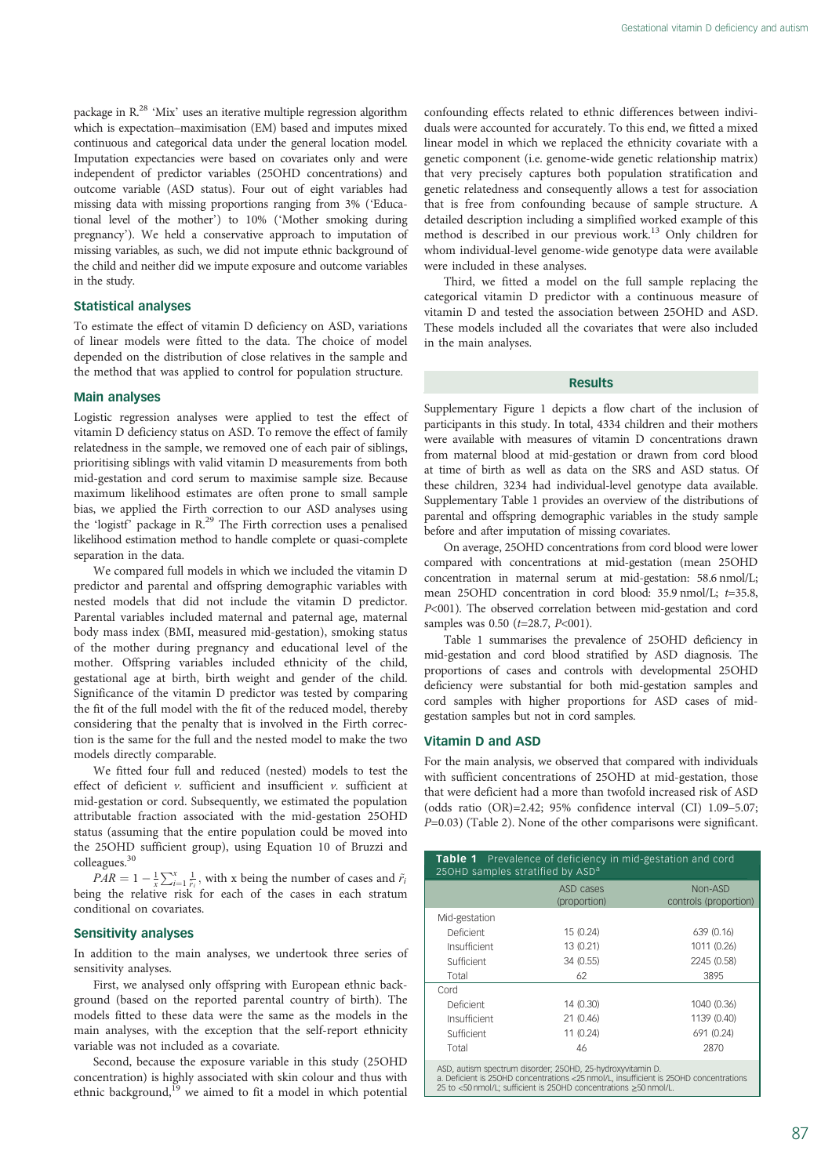package in R.[28](#page-5-0) 'Mix' uses an iterative multiple regression algorithm which is expectation–maximisation (EM) based and imputes mixed continuous and categorical data under the general location model. Imputation expectancies were based on covariates only and were independent of predictor variables (25OHD concentrations) and outcome variable (ASD status). Four out of eight variables had missing data with missing proportions ranging from 3% ('Educational level of the mother') to 10% ('Mother smoking during pregnancy'). We held a conservative approach to imputation of missing variables, as such, we did not impute ethnic background of the child and neither did we impute exposure and outcome variables in the study.

## Statistical analyses

To estimate the effect of vitamin D deficiency on ASD, variations of linear models were fitted to the data. The choice of model depended on the distribution of close relatives in the sample and the method that was applied to control for population structure.

#### Main analyses

Logistic regression analyses were applied to test the effect of vitamin D deficiency status on ASD. To remove the effect of family relatedness in the sample, we removed one of each pair of siblings, prioritising siblings with valid vitamin D measurements from both mid-gestation and cord serum to maximise sample size. Because maximum likelihood estimates are often prone to small sample bias, we applied the Firth correction to our ASD analyses using the 'logistf' package in R.[29](#page-5-0) The Firth correction uses a penalised likelihood estimation method to handle complete or quasi-complete separation in the data.

We compared full models in which we included the vitamin D predictor and parental and offspring demographic variables with nested models that did not include the vitamin D predictor. Parental variables included maternal and paternal age, maternal body mass index (BMI, measured mid-gestation), smoking status of the mother during pregnancy and educational level of the mother. Offspring variables included ethnicity of the child, gestational age at birth, birth weight and gender of the child. Significance of the vitamin D predictor was tested by comparing the fit of the full model with the fit of the reduced model, thereby considering that the penalty that is involved in the Firth correction is the same for the full and the nested model to make the two models directly comparable.

We fitted four full and reduced (nested) models to test the effect of deficient v. sufficient and insufficient v. sufficient at mid-gestation or cord. Subsequently, we estimated the population attributable fraction associated with the mid-gestation 25OHD status (assuming that the entire population could be moved into the 25OHD sufficient group), using Equation 10 of Bruzzi and colleagues.[30](#page-5-0)

 $PAR = 1 - \frac{1}{x} \sum_{i=1}^{x} \frac{1}{\tilde{r}_i}$ , with x being the number of cases and  $\tilde{r}_i$ being the relative risk for each of the cases in each stratum conditional on covariates.

## Sensitivity analyses

In addition to the main analyses, we undertook three series of sensitivity analyses.

First, we analysed only offspring with European ethnic background (based on the reported parental country of birth). The models fitted to these data were the same as the models in the main analyses, with the exception that the self-report ethnicity variable was not included as a covariate.

Second, because the exposure variable in this study (25OHD concentration) is highly associated with skin colour and thus with ethnic background,<sup>[19](#page-4-0)</sup> we aimed to fit a model in which potential

confounding effects related to ethnic differences between individuals were accounted for accurately. To this end, we fitted a mixed linear model in which we replaced the ethnicity covariate with a genetic component (i.e. genome-wide genetic relationship matrix) that very precisely captures both population stratification and genetic relatedness and consequently allows a test for association that is free from confounding because of sample structure. A detailed description including a simplified worked example of this method is described in our previous work.<sup>[13](#page-4-0)</sup> Only children for whom individual-level genome-wide genotype data were available were included in these analyses.

Third, we fitted a model on the full sample replacing the categorical vitamin D predictor with a continuous measure of vitamin D and tested the association between 25OHD and ASD. These models included all the covariates that were also included in the main analyses.

## Results

[Supplementary Figure 1](http://bjpo.rcpsych.org/lookup/suppl/doi:10.1192/bjpo.bp.116.004077/-/DC1) depicts a flow chart of the inclusion of participants in this study. In total, 4334 children and their mothers were available with measures of vitamin D concentrations drawn from maternal blood at mid-gestation or drawn from cord blood at time of birth as well as data on the SRS and ASD status. Of these children, 3234 had individual-level genotype data available. [Supplementary Table 1](http://bjpo.rcpsych.org/lookup/suppl/doi:10.1192/bjpo.bp.116.004077/-/DC1) provides an overview of the distributions of parental and offspring demographic variables in the study sample before and after imputation of missing covariates.

On average, 25OHD concentrations from cord blood were lower compared with concentrations at mid-gestation (mean 25OHD concentration in maternal serum at mid-gestation: 58.6 nmol/L; mean 25OHD concentration in cord blood: 35.9 nmol/L; t=35.8, P<001). The observed correlation between mid-gestation and cord samples was 0.50 ( $t=28.7$ ,  $P<001$ ).

Table 1 summarises the prevalence of 25OHD deficiency in mid-gestation and cord blood stratified by ASD diagnosis. The proportions of cases and controls with developmental 25OHD deficiency were substantial for both mid-gestation samples and cord samples with higher proportions for ASD cases of midgestation samples but not in cord samples.

## Vitamin D and ASD

For the main analysis, we observed that compared with individuals with sufficient concentrations of 25OHD at mid-gestation, those that were deficient had a more than twofold increased risk of ASD (odds ratio (OR)=2.42; 95% confidence interval (CI) 1.09–5.07; P=0.03) ([Table 2](#page-3-0)). None of the other comparisons were significant.

| <b>Table 1</b> Prevalence of deficiency in mid-gestation and cord<br>250HD samples stratified by ASD <sup>a</sup>                                                                                                       |                           |                                  |  |  |
|-------------------------------------------------------------------------------------------------------------------------------------------------------------------------------------------------------------------------|---------------------------|----------------------------------|--|--|
|                                                                                                                                                                                                                         | ASD cases<br>(proportion) | Non-ASD<br>controls (proportion) |  |  |
| Mid-gestation                                                                                                                                                                                                           |                           |                                  |  |  |
| Deficient                                                                                                                                                                                                               | 15 (0.24)                 | 639 (0.16)                       |  |  |
| Insufficient                                                                                                                                                                                                            | 13 (0.21)                 | 1011 (0.26)                      |  |  |
| Sufficient                                                                                                                                                                                                              | 34 (0.55)                 | 2245 (0.58)                      |  |  |
| Total                                                                                                                                                                                                                   | 62                        | 3895                             |  |  |
| Cord                                                                                                                                                                                                                    |                           |                                  |  |  |
| Deficient                                                                                                                                                                                                               | 14 (0.30)                 | 1040 (0.36)                      |  |  |
| Insufficient                                                                                                                                                                                                            | 21 (0.46)                 | 1139 (0.40)                      |  |  |
| Sufficient                                                                                                                                                                                                              | 11 (0.24)                 | 691 (0.24)                       |  |  |
| Total                                                                                                                                                                                                                   | 46                        | 2870                             |  |  |
| ASD, autism spectrum disorder; 25OHD, 25-hydroxyvitamin D.<br>a. Deficient is 250HD concentrations <25 nmol/L, insufficient is 250HD concentrations<br>25 to <50 nmol/L; sufficient is 25OHD concentrations ≥50 nmol/L. |                           |                                  |  |  |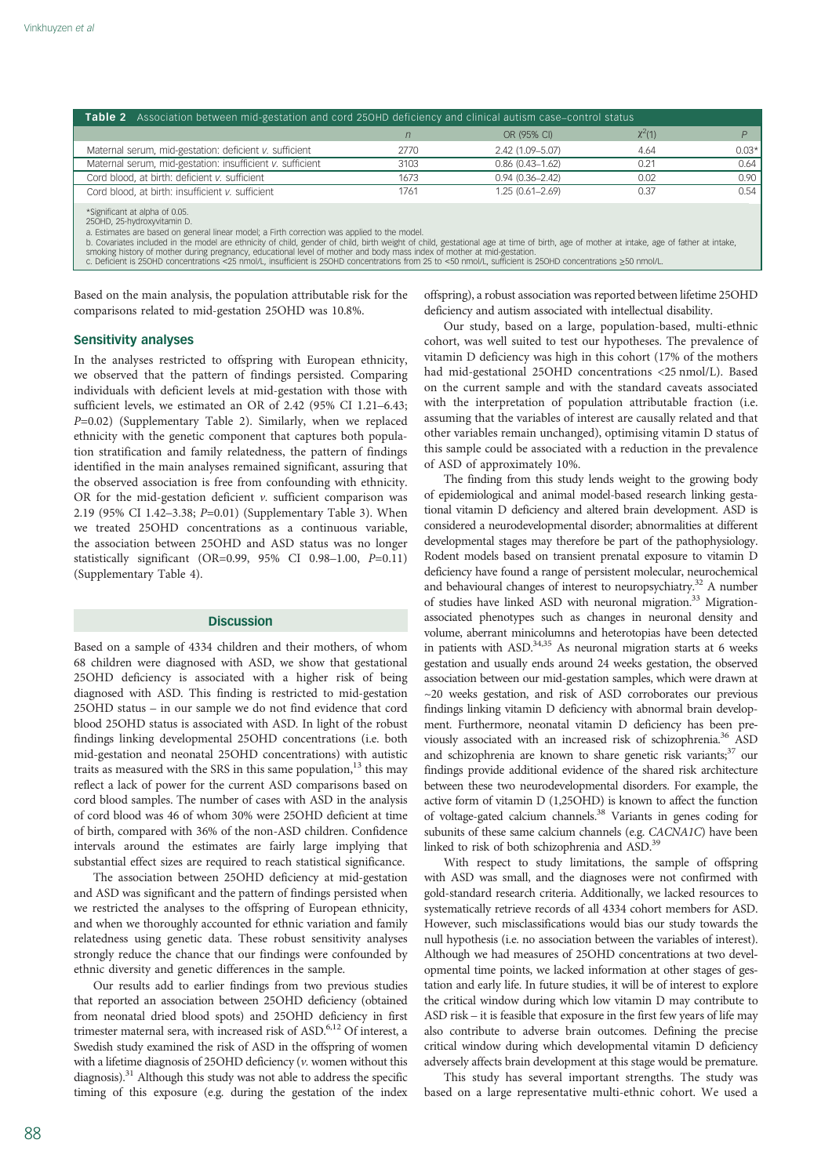<span id="page-3-0"></span>

| <b>Table 2</b> Association between mid-gestation and cord 250HD deficiency and clinical autism case–control status |      |                     |             |         |  |
|--------------------------------------------------------------------------------------------------------------------|------|---------------------|-------------|---------|--|
|                                                                                                                    | n    | OR (95% CI)         | $\chi^2(1)$ |         |  |
| Maternal serum, mid-gestation: deficient v. sufficient                                                             | 2770 | 2.42 (1.09–5.07)    | 4.64        | $0.03*$ |  |
| Maternal serum, mid-gestation: insufficient v. sufficient                                                          | 3103 | $0.86(0.43 - 1.62)$ | 0.21        | 0.64    |  |
| Cord blood, at birth: deficient v. sufficient                                                                      | 1673 | $0.94(0.36 - 2.42)$ | 0.02        | 0.90    |  |
| Cord blood, at birth: insufficient v. sufficient                                                                   | 1761 | $1.25(0.61 - 2.69)$ | 0.37        | 0.54    |  |
| *Significant at alpha of 0.05.                                                                                     |      |                     |             |         |  |

\*Significant at alpha of 0.05. 25OHD, 25-hydroxyvitamin D.

a. Estimates are based on general linear model; a Firth correction was applied to the model.

b. Covariates included in the model are ethnicity of child, gender of child, birth weight of child, gestational age at time of birth, age of mother at intake, age of father at intake,

smoking history of mother during pregnancy, educational level of mother and body mass index of mother at mid-gestation.<br>c. Deficient is 25OHD concentrations <25 nmol/L, insufficient is 25OHD concentrations from 25 to <50

Based on the main analysis, the population attributable risk for the comparisons related to mid-gestation 25OHD was 10.8%.

offspring), a robust association was reported between lifetime 25OHD deficiency and autism associated with intellectual disability.

#### Sensitivity analyses

In the analyses restricted to offspring with European ethnicity, we observed that the pattern of findings persisted. Comparing individuals with deficient levels at mid-gestation with those with sufficient levels, we estimated an OR of 2.42 (95% CI 1.21–6.43; P=0.02) [\(Supplementary Table 2\)](http://bjpo.rcpsych.org/lookup/suppl/doi:10.1192/bjpo.bp.116.004077/-/DC1). Similarly, when we replaced ethnicity with the genetic component that captures both population stratification and family relatedness, the pattern of findings identified in the main analyses remained significant, assuring that the observed association is free from confounding with ethnicity. OR for the mid-gestation deficient  $v$ . sufficient comparison was 2.19 (95% CI 1.42–3.38; P=0.01) [\(Supplementary Table 3\)](http://bjpo.rcpsych.org/lookup/suppl/doi:10.1192/bjpo.bp.116.004077/-/DC1). When we treated 25OHD concentrations as a continuous variable, the association between 25OHD and ASD status was no longer statistically significant (OR=0.99, 95% CI 0.98-1.00,  $P=0.11$ ) ([Supplementary Table 4](http://bjpo.rcpsych.org/lookup/suppl/doi:10.1192/bjpo.bp.116.004077/-/DC1)).

## **Discussion**

Based on a sample of 4334 children and their mothers, of whom 68 children were diagnosed with ASD, we show that gestational 25OHD deficiency is associated with a higher risk of being diagnosed with ASD. This finding is restricted to mid-gestation 25OHD status – in our sample we do not find evidence that cord blood 25OHD status is associated with ASD. In light of the robust findings linking developmental 25OHD concentrations (i.e. both mid-gestation and neonatal 25OHD concentrations) with autistic traits as measured with the SRS in this same population,<sup>13</sup> this may reflect a lack of power for the current ASD comparisons based on cord blood samples. The number of cases with ASD in the analysis of cord blood was 46 of whom 30% were 25OHD deficient at time of birth, compared with 36% of the non-ASD children. Confidence intervals around the estimates are fairly large implying that substantial effect sizes are required to reach statistical significance.

The association between 25OHD deficiency at mid-gestation and ASD was significant and the pattern of findings persisted when we restricted the analyses to the offspring of European ethnicity, and when we thoroughly accounted for ethnic variation and family relatedness using genetic data. These robust sensitivity analyses strongly reduce the chance that our findings were confounded by ethnic diversity and genetic differences in the sample.

Our results add to earlier findings from two previous studies that reported an association between 25OHD deficiency (obtained from neonatal dried blood spots) and 25OHD deficiency in first trimester maternal sera, with increased risk of ASD.<sup>6,[12](#page-4-0)</sup> Of interest, a Swedish study examined the risk of ASD in the offspring of women with a lifetime diagnosis of 25OHD deficiency (v. women without this diagnosis).<sup>[31](#page-5-0)</sup> Although this study was not able to address the specific timing of this exposure (e.g. during the gestation of the index

Our study, based on a large, population-based, multi-ethnic cohort, was well suited to test our hypotheses. The prevalence of vitamin D deficiency was high in this cohort (17% of the mothers had mid-gestational 25OHD concentrations <25 nmol/L). Based on the current sample and with the standard caveats associated with the interpretation of population attributable fraction (i.e. assuming that the variables of interest are causally related and that other variables remain unchanged), optimising vitamin D status of this sample could be associated with a reduction in the prevalence of ASD of approximately 10%.

The finding from this study lends weight to the growing body of epidemiological and animal model-based research linking gestational vitamin D deficiency and altered brain development. ASD is considered a neurodevelopmental disorder; abnormalities at different developmental stages may therefore be part of the pathophysiology. Rodent models based on transient prenatal exposure to vitamin D deficiency have found a range of persistent molecular, neurochemical and behavioural changes of interest to neuropsychiatry[.32](#page-5-0) A number of studies have linked ASD with neuronal migration.<sup>33</sup> Migrationassociated phenotypes such as changes in neuronal density and volume, aberrant minicolumns and heterotopias have been detected in patients with ASD. $34,35$  $34,35$  As neuronal migration starts at 6 weeks gestation and usually ends around 24 weeks gestation, the observed association between our mid-gestation samples, which were drawn at ~20 weeks gestation, and risk of ASD corroborates our previous findings linking vitamin D deficiency with abnormal brain development. Furthermore, neonatal vitamin D deficiency has been pre-viously associated with an increased risk of schizophrenia.<sup>[36](#page-5-0)</sup> ASD and schizophrenia are known to share genetic risk variants; $37$  our findings provide additional evidence of the shared risk architecture between these two neurodevelopmental disorders. For example, the active form of vitamin D (1,25OHD) is known to affect the function of voltage-gated calcium channels.<sup>38</sup> Variants in genes coding for subunits of these same calcium channels (e.g. CACNA1C) have been linked to risk of both schizophrenia and ASD.<sup>3</sup>

With respect to study limitations, the sample of offspring with ASD was small, and the diagnoses were not confirmed with gold-standard research criteria. Additionally, we lacked resources to systematically retrieve records of all 4334 cohort members for ASD. However, such misclassifications would bias our study towards the null hypothesis (i.e. no association between the variables of interest). Although we had measures of 25OHD concentrations at two developmental time points, we lacked information at other stages of gestation and early life. In future studies, it will be of interest to explore the critical window during which low vitamin D may contribute to ASD risk – it is feasible that exposure in the first few years of life may also contribute to adverse brain outcomes. Defining the precise critical window during which developmental vitamin D deficiency adversely affects brain development at this stage would be premature.

This study has several important strengths. The study was based on a large representative multi-ethnic cohort. We used a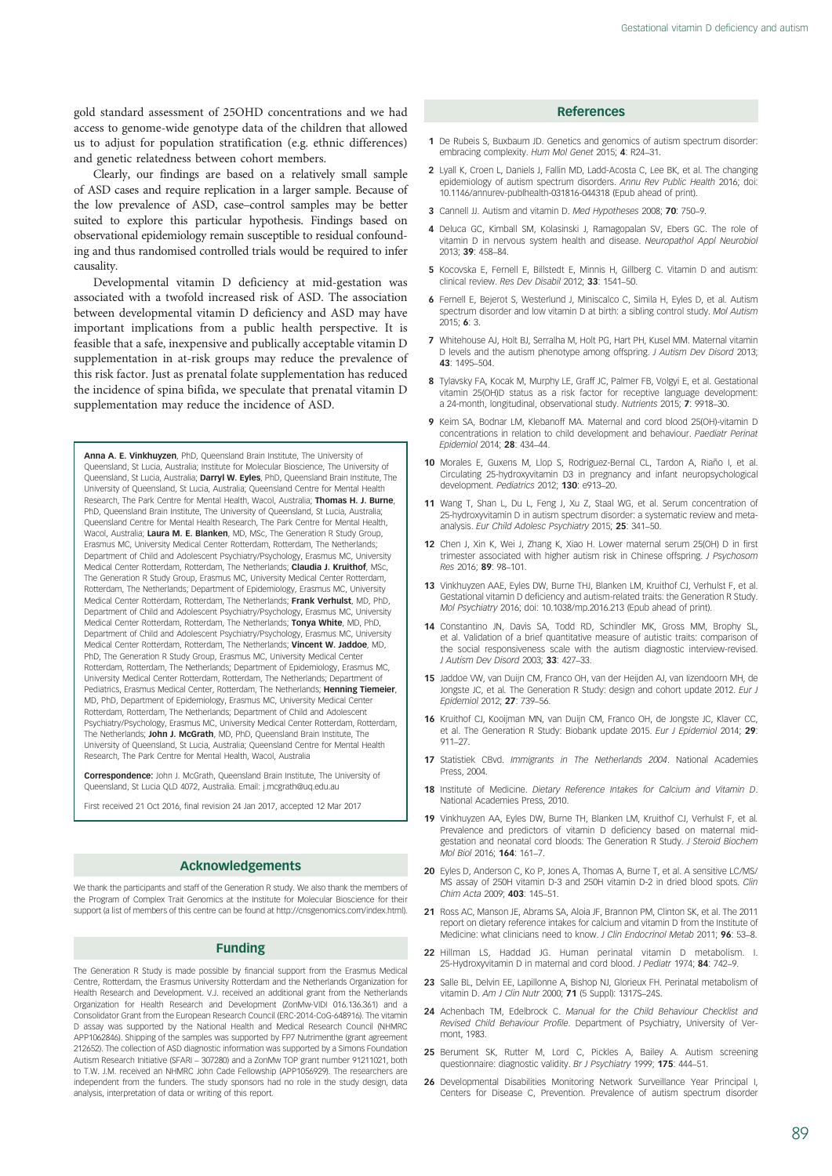<span id="page-4-0"></span>gold standard assessment of 25OHD concentrations and we had access to genome-wide genotype data of the children that allowed us to adjust for population stratification (e.g. ethnic differences) and genetic relatedness between cohort members.

Clearly, our findings are based on a relatively small sample of ASD cases and require replication in a larger sample. Because of the low prevalence of ASD, case–control samples may be better suited to explore this particular hypothesis. Findings based on observational epidemiology remain susceptible to residual confounding and thus randomised controlled trials would be required to infer causality.

Developmental vitamin D deficiency at mid-gestation was associated with a twofold increased risk of ASD. The association between developmental vitamin D deficiency and ASD may have important implications from a public health perspective. It is feasible that a safe, inexpensive and publically acceptable vitamin D supplementation in at-risk groups may reduce the prevalence of this risk factor. Just as prenatal folate supplementation has reduced the incidence of spina bifida, we speculate that prenatal vitamin D supplementation may reduce the incidence of ASD.

Anna A. E. Vinkhuyzen, PhD, Queensland Brain Institute, The University of Queensland, St Lucia, Australia; Institute for Molecular Bioscience, The University of Queensland, St Lucia, Australia; Darryl W. Eyles, PhD, Queensland Brain Institute, The University of Queensland, St Lucia, Australia; Queensland Centre for Mental Health Research, The Park Centre for Mental Health, Wacol, Australia: Thomas H. J. Burne PhD, Queensland Brain Institute, The University of Queensland, St Lucia, Australia; Queensland Centre for Mental Health Research, The Park Centre for Mental Health, Wacol, Australia; Laura M. E. Blanken, MD, MSc, The Generation R Study Group, Erasmus MC, University Medical Center Rotterdam, Rotterdam, The Netherlands; Department of Child and Adolescent Psychiatry/Psychology, Erasmus MC, University Medical Center Rotterdam, Rotterdam, The Netherlands; Claudia J. Kruithof, MSc, The Generation R Study Group, Erasmus MC, University Medical Center Rotterdam, Rotterdam, The Netherlands; Department of Epidemiology, Erasmus MC, University Medical Center Rotterdam, Rotterdam, The Netherlands; Frank Verhulst, MD, PhD, Department of Child and Adolescent Psychiatry/Psychology, Erasmus MC, University Medical Center Rotterdam, Rotterdam, The Netherlands: Tonva White, MD, PhD, Department of Child and Adolescent Psychiatry/Psychology, Erasmus MC, University Medical Center Rotterdam, Rotterdam, The Netherlands; Vincent W. Jaddoe, MD, PhD, The Generation R Study Group, Erasmus MC, University Medical Center Rotterdam, Rotterdam, The Netherlands; Department of Epidemiology, Erasmus MC, University Medical Center Rotterdam, Rotterdam, The Netherlands; Department of Pediatrics, Erasmus Medical Center, Rotterdam, The Netherlands; Henning Tiemeier, MD, PhD, Department of Epidemiology, Erasmus MC, University Medical Center Rotterdam, Rotterdam, The Netherlands; Department of Child and Adolescent Psychiatry/Psychology, Erasmus MC, University Medical Center Rotterdam, Rotterdam, The Netherlands; John J. McGrath, MD, PhD, Queensland Brain Institute, The University of Queensland, St Lucia, Australia; Queensland Centre for Mental Health Research, The Park Centre for Mental Health, Wacol, Australia

Correspondence: John J. McGrath, Queensland Brain Institute, The University of Queensland, St Lucia QLD 4072, Australia. Email[: j.mcgrath@uq.edu.au](mailto:j.mcgrath@uq.edu.au)

First received 21 Oct 2016, final revision 24 Jan 2017, accepted 12 Mar 2017

## Acknowledgements

We thank the participants and staff of the Generation R study. We also thank the members of the Program of Complex Trait Genomics at the Institute for Molecular Bioscience for their support (a list of members of this centre can be found at [http://cnsgenomics.com/index.html\)](http://cnsgenomics.com/index.html).

## Funding

The Generation R Study is made possible by financial support from the Erasmus Medical Centre, Rotterdam, the Erasmus University Rotterdam and the Netherlands Organization for Health Research and Development. V.J. received an additional grant from the Netherlands Organization for Health Research and Development (ZonMw-VIDI 016.136.361) and a Consolidator Grant from the European Research Council (ERC-2014-CoG-648916). The vitamin D assay was supported by the National Health and Medical Research Council (NHMRC APP1062846). Shipping of the samples was supported by FP7 Nutrimenthe (grant agreement 212652). The collection of ASD diagnostic information was supported by a Simons Foundation Autism Research Initiative (SFARI – 307280) and a ZonMw TOP grant number 91211021, both to T.W. J.M. received an NHMRC John Cade Fellowship (APP1056929). The researchers are independent from the funders. The study sponsors had no role in the study design, data analysis, interpretation of data or writing of this report.

## References

- 1 De Rubeis S, Buxbaum JD. Genetics and genomics of autism spectrum disorder: embracing complexity. Hum Mol Genet 2015; 4: R24-31.
- 2 Lyall K, Croen L, Daniels J, Fallin MD, Ladd-Acosta C, Lee BK, et al. The changing epidemiology of autism spectrum disorders. Annu Rev Public Health 2016; doi: 10.1146/annurev-publhealth-031816-044318 (Epub ahead of print).
- 3 Cannell JJ. Autism and vitamin D. Med Hypotheses 2008: **70**: 750–9.
- 4 Deluca GC, Kimball SM, Kolasinski J, Ramagopalan SV, Ebers GC. The role of vitamin D in nervous system health and disease. Neuropathol Appl Neurobiol 2013; 39: 458–84.
- 5 Kocovska E, Fernell E, Billstedt E, Minnis H, Gillberg C. Vitamin D and autism: clinical review. Res Dev Disabil 2012; 33: 1541–50.
- 6 Fernell E, Bejerot S, Westerlund J, Miniscalco C, Simila H, Eyles D, et al. Autism spectrum disorder and low vitamin D at birth: a sibling control study. Mol Autism 2015; 6: 3.
- 7 Whitehouse AJ, Holt BJ, Serralha M, Holt PG, Hart PH, Kusel MM. Maternal vitamin D levels and the autism phenotype among offspring. J Autism Dev Disord 2013; 43: 1495–504.
- 8 Tylaysky FA, Kocak M, Murphy LE, Graff JC, Palmer FB, Volgyi E, et al. Gestational vitamin 25(OH)D status as a risk factor for receptive language development: a 24-month, longitudinal, observational study. Nutrients 2015; 7: 9918–30.
- 9 Keim SA, Bodnar LM, Klebanoff MA. Maternal and cord blood 25(OH)-vitamin D concentrations in relation to child development and behaviour. Paediatr Perinat Epidemiol 2014; 28: 434–44.
- 10 Morales E, Guxens M, Llop S, Rodriguez-Bernal CL, Tardon A, Riaño I, et al. Circulating 25-hydroxyvitamin D3 in pregnancy and infant neuropsychological development. Pediatrics 2012; 130: e913–20.
- 11 Wang T, Shan L, Du L, Feng J, Xu Z, Staal WG, et al. Serum concentration of 25-hydroxyvitamin D in autism spectrum disorder: a systematic review and metaanalysis. Eur Child Adolesc Psychiatry 2015; 25: 341–50.
- 12 Chen J, Xin K, Wei J, Zhang K, Xiao H. Lower maternal serum 25(OH) D in first trimester associated with higher autism risk in Chinese offspring. J Psychosom Res 2016; 89: 98–101.
- 13 Vinkhuyzen AAE, Eyles DW, Burne THJ, Blanken LM, Kruithof CJ, Verhulst F, et al. Gestational vitamin D deficiency and autism-related traits: the Generation R Study. Mol Psychiatry 2016; doi: 10.1038/mp.2016.213 (Epub ahead of print).
- 14 Constantino JN, Davis SA, Todd RD, Schindler MK, Gross MM, Brophy SL, et al. Validation of a brief quantitative measure of autistic traits: comparison of the social responsiveness scale with the autism diagnostic interview-revised. J Autism Dev Disord 2003; 33: 427–33.
- 15 Jaddoe VW, van Duijn CM, Franco OH, van der Heijden AJ, van Iizendoorn MH, de Jongste JC, et al. The Generation R Study: design and cohort update 2012. Eur J Epidemiol 2012; 27: 739–56.
- 16 Kruithof CJ, Kooijman MN, van Duijn CM, Franco OH, de Jongste JC, Klaver CC, et al. The Generation R Study: Biobank update 2015. Eur J Epidemiol 2014; 29: 911–27.
- 17 Statistiek CBvd. Immigrants in The Netherlands 2004. National Academies Press, 2004.
- 18 Institute of Medicine. Dietary Reference Intakes for Calcium and Vitamin D. National Academies Press, 2010.
- 19 Vinkhuyzen AA, Eyles DW, Burne TH, Blanken LM, Kruithof CJ, Verhulst F, et al. Prevalence and predictors of vitamin D deficiency based on maternal midgestation and neonatal cord bloods: The Generation R Study. J Steroid Biochem Mol Biol 2016; 164: 161–7.
- 20 Eyles D, Anderson C, Ko P, Jones A, Thomas A, Burne T, et al. A sensitive LC/MS/ MS assay of 250H vitamin D-3 and 250H vitamin D-2 in dried blood spots. Clin Chim Acta 2009; 403: 145–51.
- 21 Ross AC, Manson JE, Abrams SA, Aloia JF, Brannon PM, Clinton SK, et al. The 2011 report on dietary reference intakes for calcium and vitamin D from the Institute of Medicine: what clinicians need to know. J Clin Endocrinol Metab 2011: 96: 53–8.
- 22 Hillman LS, Haddad JG. Human perinatal vitamin D metabolism. I. 25-Hydroxyvitamin D in maternal and cord blood. J Pediatr 1974; 84: 742-9.
- 23 Salle BL, Delvin EE, Lapillonne A, Bishop NJ, Glorieux EH, Perinatal metabolism of vitamin D. Am J Clin Nutr 2000; 71 (5 Suppl): 1317S-24S.
- 24 Achenbach TM, Edelbrock C. Manual for the Child Behaviour Checklist and Revised Child Behaviour Profile. Department of Psychiatry, University of Vermont, 1983.
- 25 Berument SK, Rutter M, Lord C, Pickles A, Bailey A. Autism screening questionnaire: diagnostic validity. Br J Psychiatry 1999; 175: 444-51.
- 26 Developmental Disabilities Monitoring Network Surveillance Year Principal I, Centers for Disease C, Prevention. Prevalence of autism spectrum disorder